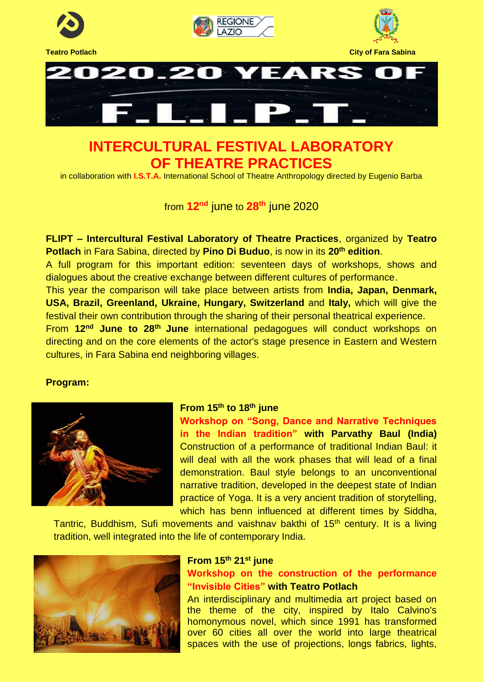

# **INTERCULTURAL FESTIVAL LABORATORY OF THEATRE PRACTICES**

in collaboration with **I.S.T.A.** International School of Theatre Anthropology directed by Eugenio Barba

from **12nd** june to **28th** june 2020

**FLIPT – Intercultural Festival Laboratory of Theatre Practices**, organized by **Teatro Potlach** in Fara Sabina, directed by **Pino Di Buduo**, is now in its **20th edition**.

A full program for this important edition: seventeen days of workshops, shows and dialogues about the creative exchange between different cultures of performance.

This year the comparison will take place between artists from **India, Japan, Denmark, USA, Brazil, Greenland, Ukraine, Hungary, Switzerland** and **Italy,** which will give the festival their own contribution through the sharing of their personal theatrical experience.

From **12nd June to 28th June** international pedagogues will conduct workshops on directing and on the core elements of the actor's stage presence in Eastern and Western cultures, in Fara Sabina end neighboring villages.

## **Program:**



## **From 15th to 18th june**

**Workshop on "Song, Dance and Narrative Techniques in the Indian tradition" with Parvathy Baul (India)** Construction of a performance of traditional Indian Baul: it will deal with all the work phases that will lead of a final demonstration. Baul style belongs to an unconventional narrative tradition, developed in the deepest state of Indian practice of Yoga. It is a very ancient tradition of storytelling, which has benn influenced at different times by Siddha,

Tantric, Buddhism, Sufi movements and vaishnav bakthi of 15<sup>th</sup> century. It is a living tradition, well integrated into the life of contemporary India.



## **From 15th 21st june**

## **Workshop on the construction of the performance "Invisible Cities" with Teatro Potlach**

An interdisciplinary and multimedia art project based on the theme of the city, inspired by Italo Calvino's homonymous novel, which since 1991 has transformed over 60 cities all over the world into large theatrical spaces with the use of projections, longs fabrics, lights,